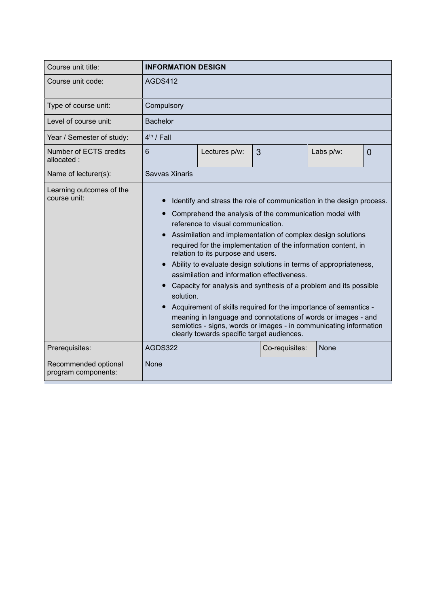| Course unit title:                          | <b>INFORMATION DESIGN</b>                                                                                                                                                                                                                                                                                                                                                                                                                                                                                                                                                                                                                                                                                                                                                                                  |               |                |             |                |  |
|---------------------------------------------|------------------------------------------------------------------------------------------------------------------------------------------------------------------------------------------------------------------------------------------------------------------------------------------------------------------------------------------------------------------------------------------------------------------------------------------------------------------------------------------------------------------------------------------------------------------------------------------------------------------------------------------------------------------------------------------------------------------------------------------------------------------------------------------------------------|---------------|----------------|-------------|----------------|--|
| Course unit code:                           | AGDS412                                                                                                                                                                                                                                                                                                                                                                                                                                                                                                                                                                                                                                                                                                                                                                                                    |               |                |             |                |  |
| Type of course unit:                        | Compulsory                                                                                                                                                                                                                                                                                                                                                                                                                                                                                                                                                                                                                                                                                                                                                                                                 |               |                |             |                |  |
| Level of course unit:                       | <b>Bachelor</b>                                                                                                                                                                                                                                                                                                                                                                                                                                                                                                                                                                                                                                                                                                                                                                                            |               |                |             |                |  |
| Year / Semester of study:                   | $4th$ / Fall                                                                                                                                                                                                                                                                                                                                                                                                                                                                                                                                                                                                                                                                                                                                                                                               |               |                |             |                |  |
| Number of ECTS credits<br>allocated:        | 6                                                                                                                                                                                                                                                                                                                                                                                                                                                                                                                                                                                                                                                                                                                                                                                                          | Lectures p/w: | 3              | Labs p/w:   | $\overline{0}$ |  |
| Name of lecturer(s):                        | Savvas Xinaris                                                                                                                                                                                                                                                                                                                                                                                                                                                                                                                                                                                                                                                                                                                                                                                             |               |                |             |                |  |
| Learning outcomes of the<br>course unit:    | Identify and stress the role of communication in the design process.<br>Comprehend the analysis of the communication model with<br>reference to visual communication.<br>Assimilation and implementation of complex design solutions<br>required for the implementation of the information content, in<br>relation to its purpose and users.<br>Ability to evaluate design solutions in terms of appropriateness,<br>assimilation and information effectiveness.<br>Capacity for analysis and synthesis of a problem and its possible<br>solution.<br>Acquirement of skills required for the importance of semantics -<br>meaning in language and connotations of words or images - and<br>semiotics - signs, words or images - in communicating information<br>clearly towards specific target audiences. |               |                |             |                |  |
| Prerequisites:                              | AGDS322                                                                                                                                                                                                                                                                                                                                                                                                                                                                                                                                                                                                                                                                                                                                                                                                    |               | Co-requisites: | <b>None</b> |                |  |
| Recommended optional<br>program components: | None                                                                                                                                                                                                                                                                                                                                                                                                                                                                                                                                                                                                                                                                                                                                                                                                       |               |                |             |                |  |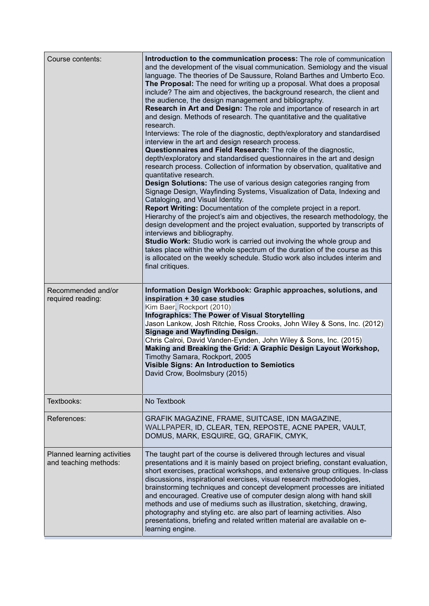| Course contents:                                     | Introduction to the communication process: The role of communication<br>and the development of the visual communication. Semiology and the visual<br>language. The theories of De Saussure, Roland Barthes and Umberto Eco.<br>The Proposal: The need for writing up a proposal. What does a proposal<br>include? The aim and objectives, the background research, the client and<br>the audience, the design management and bibliography.<br>Research in Art and Design: The role and importance of research in art<br>and design. Methods of research. The quantitative and the qualitative<br>research.<br>Interviews: The role of the diagnostic, depth/exploratory and standardised<br>interview in the art and design research process.<br>Questionnaires and Field Research: The role of the diagnostic,<br>depth/exploratory and standardised questionnaires in the art and design<br>research process. Collection of information by observation, qualitative and<br>quantitative research.<br>Design Solutions: The use of various design categories ranging from<br>Signage Design, Wayfinding Systems, Visualization of Data, Indexing and<br>Cataloging, and Visual Identity.<br>Report Writing: Documentation of the complete project in a report.<br>Hierarchy of the project's aim and objectives, the research methodology, the<br>design development and the project evaluation, supported by transcripts of<br>interviews and bibliography.<br>Studio Work: Studio work is carried out involving the whole group and<br>takes place within the whole spectrum of the duration of the course as this<br>is allocated on the weekly schedule. Studio work also includes interim and<br>final critiques. |
|------------------------------------------------------|-------------------------------------------------------------------------------------------------------------------------------------------------------------------------------------------------------------------------------------------------------------------------------------------------------------------------------------------------------------------------------------------------------------------------------------------------------------------------------------------------------------------------------------------------------------------------------------------------------------------------------------------------------------------------------------------------------------------------------------------------------------------------------------------------------------------------------------------------------------------------------------------------------------------------------------------------------------------------------------------------------------------------------------------------------------------------------------------------------------------------------------------------------------------------------------------------------------------------------------------------------------------------------------------------------------------------------------------------------------------------------------------------------------------------------------------------------------------------------------------------------------------------------------------------------------------------------------------------------------------------------------------------------------------------------------------------------------------------|
| Recommended and/or<br>required reading:              | Information Design Workbook: Graphic approaches, solutions, and<br>inspiration + 30 case studies<br>Kim Baer, Rockport (2010)<br><b>Infographics: The Power of Visual Storytelling</b><br>Jason Lankow, Josh Ritchie, Ross Crooks, John Wiley & Sons, Inc. (2012)<br><b>Signage and Wayfinding Design.</b><br>Chris Calroi, David Vanden-Eynden, John Wiley & Sons, Inc. (2015)<br>Making and Breaking the Grid: A Graphic Design Layout Workshop,<br>Timothy Samara, Rockport, 2005<br><b>Visible Signs: An Introduction to Semiotics</b><br>David Crow, Boolmsbury (2015)                                                                                                                                                                                                                                                                                                                                                                                                                                                                                                                                                                                                                                                                                                                                                                                                                                                                                                                                                                                                                                                                                                                                             |
| Textbooks:                                           | No Textbook                                                                                                                                                                                                                                                                                                                                                                                                                                                                                                                                                                                                                                                                                                                                                                                                                                                                                                                                                                                                                                                                                                                                                                                                                                                                                                                                                                                                                                                                                                                                                                                                                                                                                                             |
| References:                                          | GRAFIK MAGAZINE, FRAME, SUITCASE, IDN MAGAZINE,<br>WALLPAPER, ID, CLEAR, TEN, REPOSTE, ACNE PAPER, VAULT,<br>DOMUS, MARK, ESQUIRE, GQ, GRAFIK, CMYK,                                                                                                                                                                                                                                                                                                                                                                                                                                                                                                                                                                                                                                                                                                                                                                                                                                                                                                                                                                                                                                                                                                                                                                                                                                                                                                                                                                                                                                                                                                                                                                    |
| Planned learning activities<br>and teaching methods: | The taught part of the course is delivered through lectures and visual<br>presentations and it is mainly based on project briefing, constant evaluation,<br>short exercises, practical workshops, and extensive group critiques. In-class<br>discussions, inspirational exercises, visual research methodologies,<br>brainstorming techniques and concept development processes are initiated<br>and encouraged. Creative use of computer design along with hand skill<br>methods and use of mediums such as illustration, sketching, drawing,<br>photography and styling etc. are also part of learning activities. Also<br>presentations, briefing and related written material are available on e-<br>learning engine.                                                                                                                                                                                                                                                                                                                                                                                                                                                                                                                                                                                                                                                                                                                                                                                                                                                                                                                                                                                               |